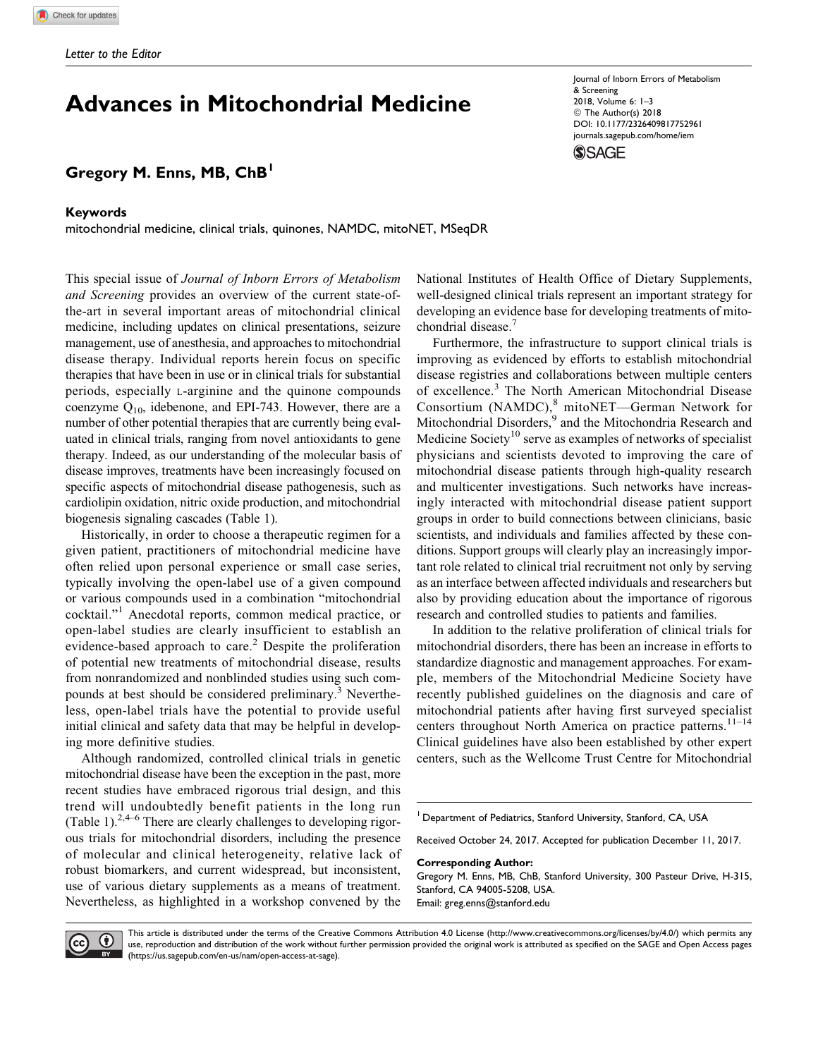# Advances in Mitochondrial Medicine

# Gregory M. Enns, MB, ChB<sup>1</sup>

## Keywords

mitochondrial medicine, clinical trials, quinones, NAMDC, mitoNET, MSeqDR

This special issue of Journal of Inborn Errors of Metabolism and Screening provides an overview of the current state-ofthe-art in several important areas of mitochondrial clinical medicine, including updates on clinical presentations, seizure management, use of anesthesia, and approaches to mitochondrial disease therapy. Individual reports herein focus on specific therapies that have been in use or in clinical trials for substantial periods, especially L-arginine and the quinone compounds coenzyme Q10, idebenone, and EPI-743. However, there are a number of other potential therapies that are currently being evaluated in clinical trials, ranging from novel antioxidants to gene therapy. Indeed, as our understanding of the molecular basis of disease improves, treatments have been increasingly focused on specific aspects of mitochondrial disease pathogenesis, such as cardiolipin oxidation, nitric oxide production, and mitochondrial biogenesis signaling cascades (Table 1).

Historically, in order to choose a therapeutic regimen for a given patient, practitioners of mitochondrial medicine have often relied upon personal experience or small case series, typically involving the open-label use of a given compound or various compounds used in a combination "mitochondrial cocktail."<sup>1</sup> Anecdotal reports, common medical practice, or open-label studies are clearly insufficient to establish an evidence-based approach to care.<sup>2</sup> Despite the proliferation of potential new treatments of mitochondrial disease, results from nonrandomized and nonblinded studies using such compounds at best should be considered preliminary.<sup>3</sup> Nevertheless, open-label trials have the potential to provide useful initial clinical and safety data that may be helpful in developing more definitive studies.

Although randomized, controlled clinical trials in genetic mitochondrial disease have been the exception in the past, more recent studies have embraced rigorous trial design, and this trend will undoubtedly benefit patients in the long run (Table 1). $2,4-6$  There are clearly challenges to developing rigorous trials for mitochondrial disorders, including the presence of molecular and clinical heterogeneity, relative lack of robust biomarkers, and current widespread, but inconsistent, use of various dietary supplements as a means of treatment. Nevertheless, as highlighted in a workshop convened by the

Journal of Inborn Errors of Metabolism & Screening 2018, Volume 6: 1–3 © The Author(s) 2018 [DOI: 10.1177/2326409817752961](https://doi.org/10.1177/2326409817752961) [journals.sagepub.com/home/iem](http://journals.sagepub.com/home/iem) **SSAGE** 

National Institutes of Health Office of Dietary Supplements, well-designed clinical trials represent an important strategy for developing an evidence base for developing treatments of mitochondrial disease.<sup>7</sup>

Furthermore, the infrastructure to support clinical trials is improving as evidenced by efforts to establish mitochondrial disease registries and collaborations between multiple centers of excellence.<sup>3</sup> The North American Mitochondrial Disease Consortium (NAMDC),<sup>8</sup> mitoNET—German Network for Mitochondrial Disorders,<sup>9</sup> and the Mitochondria Research and Medicine Society<sup>10</sup> serve as examples of networks of specialist physicians and scientists devoted to improving the care of mitochondrial disease patients through high-quality research and multicenter investigations. Such networks have increasingly interacted with mitochondrial disease patient support groups in order to build connections between clinicians, basic scientists, and individuals and families affected by these conditions. Support groups will clearly play an increasingly important role related to clinical trial recruitment not only by serving as an interface between affected individuals and researchers but also by providing education about the importance of rigorous research and controlled studies to patients and families.

In addition to the relative proliferation of clinical trials for mitochondrial disorders, there has been an increase in efforts to standardize diagnostic and management approaches. For example, members of the Mitochondrial Medicine Society have recently published guidelines on the diagnosis and care of mitochondrial patients after having first surveyed specialist centers throughout North America on practice patterns.<sup>11-14</sup> Clinical guidelines have also been established by other expert centers, such as the Wellcome Trust Centre for Mitochondrial

Received October 24, 2017. Accepted for publication December 11, 2017.

Corresponding Author:

Gregory M. Enns, MB, ChB, Stanford University, 300 Pasteur Drive, H-315, Stanford, CA 94005-5208, USA. Email: greg.enns@stanford.edu



This article is distributed under the terms of the Creative Commons Attribution 4.0 License (http://www.creativecommons.org/licenses/by/4.0/) which permits any use, reproduction and distribution of the work without further permission provided the original work is attributed as specified on the SAGE and Open Access pages (https://us.sagepub.com/en-us/nam/open-access-at-sage).

Department of Pediatrics, Stanford University, Stanford, CA, USA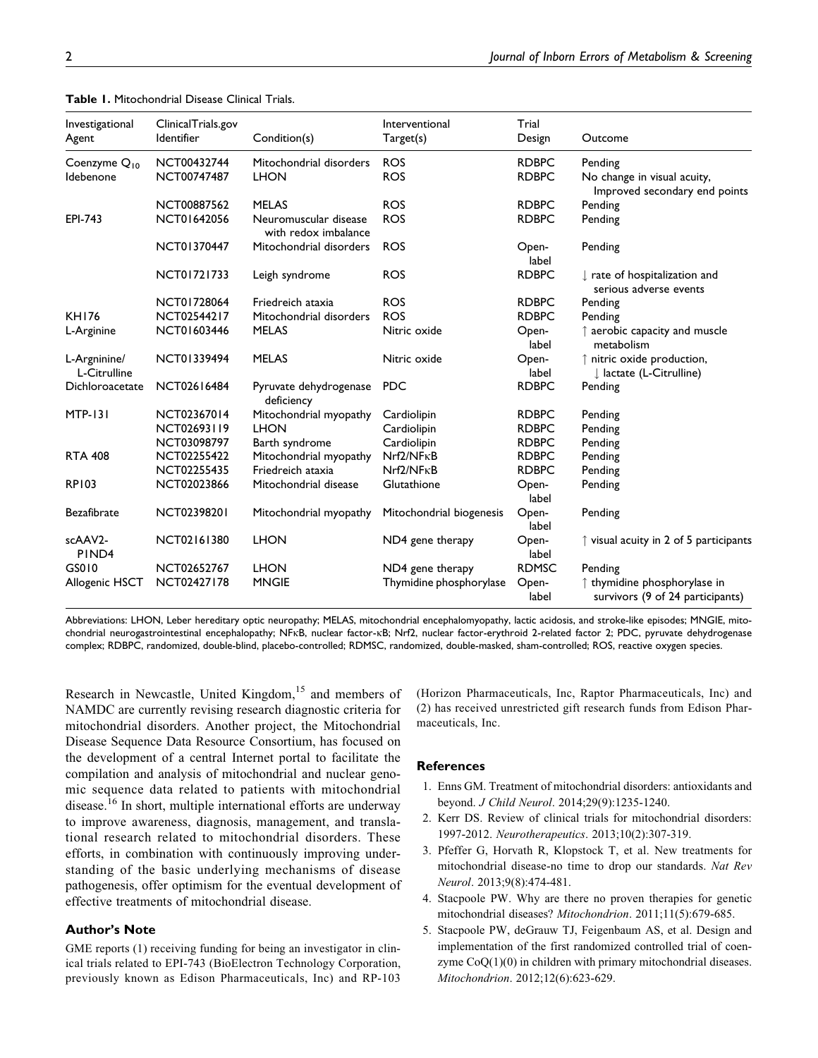| Investigational              | ClinicalTrials.gov<br>Identifier | Condition(s)                                  | Interventional           | Trial          | Outcome                                                                   |
|------------------------------|----------------------------------|-----------------------------------------------|--------------------------|----------------|---------------------------------------------------------------------------|
| Agent                        |                                  |                                               | Target(s)                | Design         |                                                                           |
| Coenzyme Q <sub>10</sub>     | NCT00432744                      | Mitochondrial disorders                       | <b>ROS</b>               | <b>RDBPC</b>   | Pending                                                                   |
| Idebenone                    | NCT00747487                      | <b>LHON</b>                                   | <b>ROS</b>               | <b>RDBPC</b>   | No change in visual acuity,<br>Improved secondary end points              |
|                              | NCT00887562                      | <b>MELAS</b>                                  | <b>ROS</b>               | <b>RDBPC</b>   | Pending                                                                   |
| EPI-743                      | NCT01642056                      | Neuromuscular disease<br>with redox imbalance | <b>ROS</b>               | <b>RDBPC</b>   | Pending                                                                   |
|                              | NCT01370447                      | Mitochondrial disorders                       | <b>ROS</b>               | Open-<br>label | Pending                                                                   |
|                              | NCT01721733                      | Leigh syndrome                                | <b>ROS</b>               | <b>RDBPC</b>   | $\downarrow$ rate of hospitalization and<br>serious adverse events        |
|                              | NCT01728064                      | Friedreich ataxia                             | <b>ROS</b>               | <b>RDBPC</b>   | Pending                                                                   |
| <b>KH176</b>                 | NCT02544217                      | Mitochondrial disorders                       | <b>ROS</b>               | <b>RDBPC</b>   | Pending                                                                   |
| L-Arginine                   | NCT01603446                      | <b>MELAS</b>                                  | Nitric oxide             | Open-<br>label | $\uparrow$ aerobic capacity and muscle<br>metabolism                      |
| L-Argninine/<br>L-Citrulline | NCT01339494                      | <b>MELAS</b>                                  | Nitric oxide             | Open-<br>label | ↑ nitric oxide production,<br>I lactate (L-Citrulline)                    |
| Dichloroacetate              | NCT02616484                      | Pyruvate dehydrogenase<br>deficiency          | <b>PDC</b>               | <b>RDBPC</b>   | Pending                                                                   |
| <b>MTP-131</b>               | NCT02367014                      | Mitochondrial myopathy                        | Cardiolipin              | <b>RDBPC</b>   | Pending                                                                   |
|                              | NCT02693119                      | <b>LHON</b>                                   | Cardiolipin              | <b>RDBPC</b>   | Pending                                                                   |
|                              | NCT03098797                      | Barth syndrome                                | Cardiolipin              | <b>RDBPC</b>   | Pending                                                                   |
| <b>RTA 408</b>               | NCT02255422                      | Mitochondrial myopathy                        | $Nrf2/NF\kappa B$        | <b>RDBPC</b>   | Pending                                                                   |
|                              | NCT02255435                      | Friedreich ataxia                             | $Nrf2/NF\kappa B$        | <b>RDBPC</b>   | Pending                                                                   |
| <b>RP103</b>                 | NCT02023866                      | Mitochondrial disease                         | Glutathione              | Open-<br>label | Pending                                                                   |
| <b>Bezafibrate</b>           | NCT02398201                      | Mitochondrial myopathy                        | Mitochondrial biogenesis | Open-<br>label | Pending                                                                   |
| scAAV2-<br>PIND <sub>4</sub> | NCT02161380                      | <b>LHON</b>                                   | ND4 gene therapy         | Open-<br>label | $\uparrow$ visual acuity in 2 of 5 participants                           |
| GS010                        | NCT02652767                      | <b>LHON</b>                                   | ND4 gene therapy         | <b>RDMSC</b>   | Pending                                                                   |
| Allogenic HSCT               | NCT02427178                      | <b>MNGIE</b>                                  | Thymidine phosphorylase  | Open-<br>label | $\uparrow$ thymidine phosphorylase in<br>survivors (9 of 24 participants) |

| <b>Table 1.</b> Mitochondrial Disease Clinical Trials. |  |
|--------------------------------------------------------|--|
|--------------------------------------------------------|--|

Abbreviations: LHON, Leber hereditary optic neuropathy; MELAS, mitochondrial encephalomyopathy, lactic acidosis, and stroke-like episodes; MNGIE, mitochondrial neurogastrointestinal encephalopathy; NFkB, nuclear factor-kB; Nrf2, nuclear factor-erythroid 2-related factor 2; PDC, pyruvate dehydrogenase complex; RDBPC, randomized, double-blind, placebo-controlled; RDMSC, randomized, double-masked, sham-controlled; ROS, reactive oxygen species.

Research in Newcastle, United Kingdom,<sup>15</sup> and members of NAMDC are currently revising research diagnostic criteria for mitochondrial disorders. Another project, the Mitochondrial Disease Sequence Data Resource Consortium, has focused on the development of a central Internet portal to facilitate the compilation and analysis of mitochondrial and nuclear genomic sequence data related to patients with mitochondrial disease.<sup>16</sup> In short, multiple international efforts are underway to improve awareness, diagnosis, management, and translational research related to mitochondrial disorders. These efforts, in combination with continuously improving understanding of the basic underlying mechanisms of disease pathogenesis, offer optimism for the eventual development of effective treatments of mitochondrial disease.

### Author's Note

GME reports (1) receiving funding for being an investigator in clinical trials related to EPI-743 (BioElectron Technology Corporation, previously known as Edison Pharmaceuticals, Inc) and RP-103 (Horizon Pharmaceuticals, Inc, Raptor Pharmaceuticals, Inc) and (2) has received unrestricted gift research funds from Edison Pharmaceuticals, Inc.

### **References**

- 1. Enns GM. Treatment of mitochondrial disorders: antioxidants and beyond. J Child Neurol. 2014;29(9):1235-1240.
- 2. Kerr DS. Review of clinical trials for mitochondrial disorders: 1997-2012. Neurotherapeutics. 2013;10(2):307-319.
- 3. Pfeffer G, Horvath R, Klopstock T, et al. New treatments for mitochondrial disease-no time to drop our standards. Nat Rev Neurol. 2013;9(8):474-481.
- 4. Stacpoole PW. Why are there no proven therapies for genetic mitochondrial diseases? Mitochondrion. 2011;11(5):679-685.
- 5. Stacpoole PW, deGrauw TJ, Feigenbaum AS, et al. Design and implementation of the first randomized controlled trial of coenzyme CoQ(1)(0) in children with primary mitochondrial diseases. Mitochondrion. 2012;12(6):623-629.